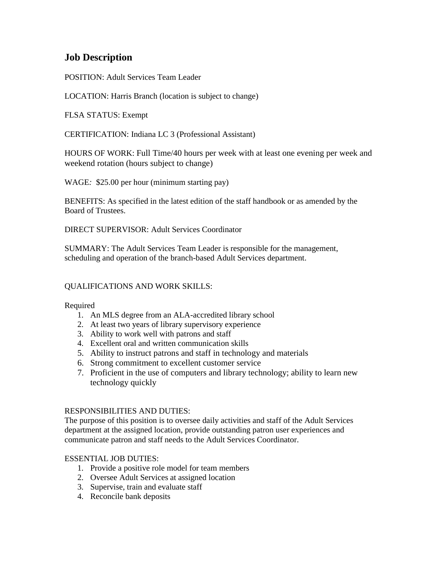# **Job Description**

POSITION: Adult Services Team Leader

LOCATION: Harris Branch (location is subject to change)

FLSA STATUS: Exempt

CERTIFICATION: Indiana LC 3 (Professional Assistant)

HOURS OF WORK: Full Time/40 hours per week with at least one evening per week and weekend rotation (hours subject to change)

WAGE*:* \$25.00 per hour (minimum starting pay)

BENEFITS: As specified in the latest edition of the staff handbook or as amended by the Board of Trustees.

DIRECT SUPERVISOR: Adult Services Coordinator

SUMMARY: The Adult Services Team Leader is responsible for the management, scheduling and operation of the branch-based Adult Services department.

#### QUALIFICATIONS AND WORK SKILLS:

Required

- 1. An MLS degree from an ALA-accredited library school
- 2. At least two years of library supervisory experience
- 3. Ability to work well with patrons and staff
- 4. Excellent oral and written communication skills
- 5. Ability to instruct patrons and staff in technology and materials
- 6. Strong commitment to excellent customer service
- 7. Proficient in the use of computers and library technology; ability to learn new technology quickly

#### RESPONSIBILITIES AND DUTIES:

The purpose of this position is to oversee daily activities and staff of the Adult Services department at the assigned location, provide outstanding patron user experiences and communicate patron and staff needs to the Adult Services Coordinator.

## ESSENTIAL JOB DUTIES:

- 1. Provide a positive role model for team members
- 2. Oversee Adult Services at assigned location
- 3. Supervise, train and evaluate staff
- 4. Reconcile bank deposits